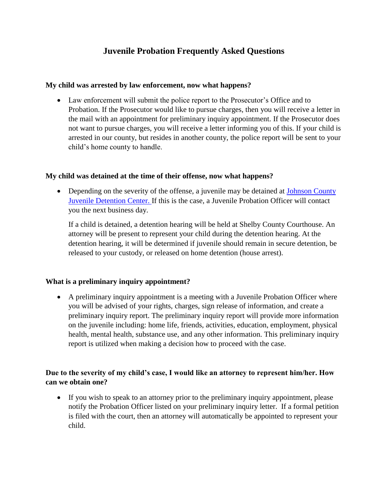# **Juvenile Probation Frequently Asked Questions**

## **My child was arrested by law enforcement, now what happens?**

• Law enforcement will submit the police report to the Prosecutor's Office and to Probation. If the Prosecutor would like to pursue charges, then you will receive a letter in the mail with an appointment for preliminary inquiry appointment. If the Prosecutor does not want to pursue charges, you will receive a letter informing you of this. If your child is arrested in our county, but resides in another county, the police report will be sent to your child's home county to handle.

## **My child was detained at the time of their offense, now what happens?**

• Depending on the severity of the offense, a juvenile may be detained at Johnson County [Juvenile Detention Center. I](http://co.johnson.in.us/jdc/)f this is the case, a Juvenile Probation Officer will contact you the next business day.

If a child is detained, a detention hearing will be held at Shelby County Courthouse. An attorney will be present to represent your child during the detention hearing. At the detention hearing, it will be determined if juvenile should remain in secure detention, be released to your custody, or released on home detention (house arrest).

## **What is a preliminary inquiry appointment?**

• A preliminary inquiry appointment is a meeting with a Juvenile Probation Officer where you will be advised of your rights, charges, sign release of information, and create a preliminary inquiry report. The preliminary inquiry report will provide more information on the juvenile including: home life, friends, activities, education, employment, physical health, mental health, substance use, and any other information. This preliminary inquiry report is utilized when making a decision how to proceed with the case.

## **Due to the severity of my child's case, I would like an attorney to represent him/her. How can we obtain one?**

• If you wish to speak to an attorney prior to the preliminary inquiry appointment, please notify the Probation Officer listed on your preliminary inquiry letter. If a formal petition is filed with the court, then an attorney will automatically be appointed to represent your child.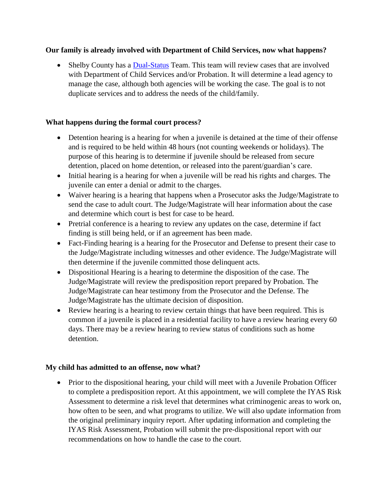## **Our family is already involved with Department of Child Services, now what happens?**

• Shelby County has a [Dual-Status](https://www.in.gov/courts/iocs/files/Dual-Status-Resource-Notebook.pdf) Team. This team will review cases that are involved with Department of Child Services and/or Probation. It will determine a lead agency to manage the case, although both agencies will be working the case. The goal is to not duplicate services and to address the needs of the child/family.

### **What happens during the formal court process?**

- Detention hearing is a hearing for when a juvenile is detained at the time of their offense and is required to be held within 48 hours (not counting weekends or holidays). The purpose of this hearing is to determine if juvenile should be released from secure detention, placed on home detention, or released into the parent/guardian's care.
- Initial hearing is a hearing for when a juvenile will be read his rights and charges. The juvenile can enter a denial or admit to the charges.
- Waiver hearing is a hearing that happens when a Prosecutor asks the Judge/Magistrate to send the case to adult court. The Judge/Magistrate will hear information about the case and determine which court is best for case to be heard.
- Pretrial conference is a hearing to review any updates on the case, determine if fact finding is still being held, or if an agreement has been made.
- Fact-Finding hearing is a hearing for the Prosecutor and Defense to present their case to the Judge/Magistrate including witnesses and other evidence. The Judge/Magistrate will then determine if the juvenile committed those delinquent acts.
- Dispositional Hearing is a hearing to determine the disposition of the case. The Judge/Magistrate will review the predisposition report prepared by Probation. The Judge/Magistrate can hear testimony from the Prosecutor and the Defense. The Judge/Magistrate has the ultimate decision of disposition.
- Review hearing is a hearing to review certain things that have been required. This is common if a juvenile is placed in a residential facility to have a review hearing every 60 days. There may be a review hearing to review status of conditions such as home detention.

#### **My child has admitted to an offense, now what?**

• Prior to the dispositional hearing, your child will meet with a Juvenile Probation Officer to complete a predisposition report. At this appointment, we will complete the IYAS Risk Assessment to determine a risk level that determines what criminogenic areas to work on, how often to be seen, and what programs to utilize. We will also update information from the original preliminary inquiry report. After updating information and completing the IYAS Risk Assessment, Probation will submit the pre-dispositional report with our recommendations on how to handle the case to the court.